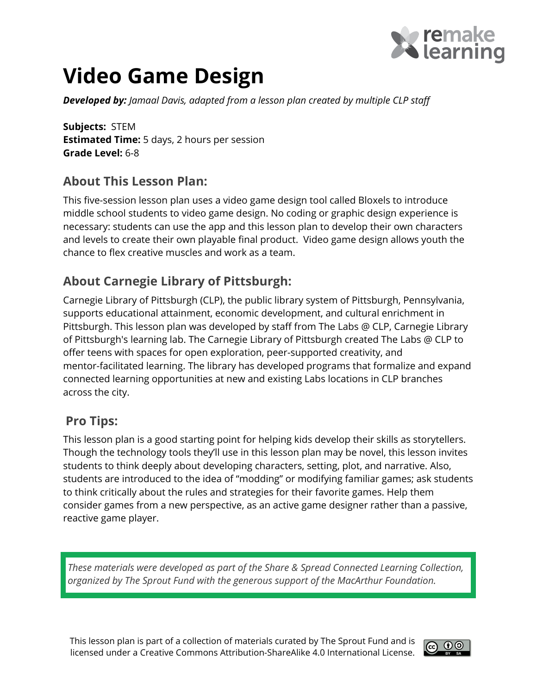

# Video Game Design

**Developed by:** Jamaal Davis, adapted from a lesson plan created by multiple CLP staff

Subjects: STEM **Estimated Time:** 5 days, 2 hours per session Grade Level: 6-8

#### About This Lesson Plan:

This five-session lesson plan uses a video game design tool called Bloxels to introduce middle school students to video game design. No coding or graphic design experience is necessary: students can use the app and this lesson plan to develop their own characters and levels to create their own playable final product. Video game design allows youth the chance to flex creative muscles and work as a team.

#### About Carnegie Library of Pittsburgh:

Carnegie Library of Pittsburgh (CLP), the public library system of Pittsburgh, Pennsylvania, supports educational attainment, economic development, and cultural enrichment in Pittsburgh. This lesson plan was developed by staff from The Labs @ CLP, Carnegie Library of Pittsburgh's learning lab. The Carnegie Library of Pittsburgh created The Labs @ CLP to offer teens with spaces for open exploration, peer-supported creativity, and mentor-facilitated learning. The library has developed programs that formalize and expand connected learning opportunities at new and existing Labs locations in CLP branches across the city.

#### Pro Tips:

This lesson plan is a good starting point for helping kids develop their skills as storytellers. Though the technology tools they'll use in this lesson plan may be novel, this lesson invites students to think deeply about developing characters, setting, plot, and narrative. Also, students are introduced to the idea of "modding" or modifying familiar games; ask students to think critically about the rules and strategies for their favorite games. Help them consider games from a new perspective, as an active game designer rather than a passive, reactive game player.

These materials were developed as part of the Share & Spread Connected Learning Collection, organized by The Sprout Fund with the generous support of the MacArthur Foundation.

This lesson plan is part of a collection of materials curated by The Sprout Fund and is licensed under a Creative Commons Attribution-ShareAlike 4.0 International License.

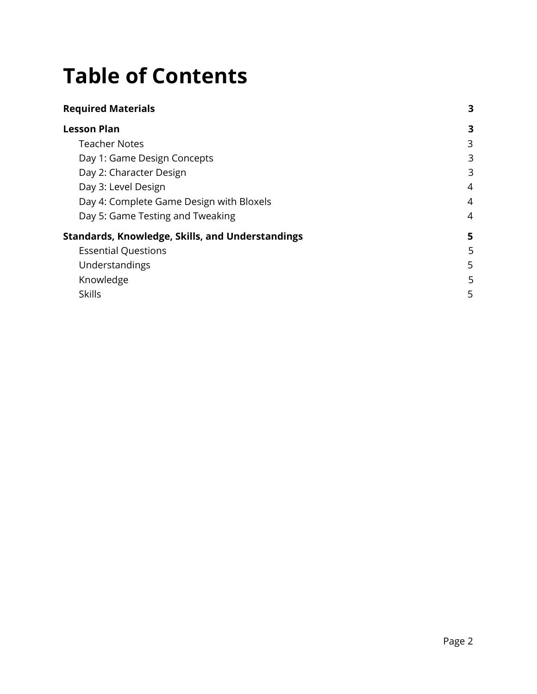# Table of Contents

| <b>Required Materials</b> |  |  |
|---------------------------|--|--|
|                           |  |  |

| <b>Lesson Plan</b>                               | 3 |
|--------------------------------------------------|---|
| <b>Teacher Notes</b>                             | 3 |
| Day 1: Game Design Concepts                      | 3 |
| Day 2: Character Design                          | 3 |
| Day 3: Level Design                              | 4 |
| Day 4: Complete Game Design with Bloxels         | 4 |
| Day 5: Game Testing and Tweaking                 | 4 |
| Standards, Knowledge, Skills, and Understandings | 5 |
| <b>Essential Questions</b>                       | 5 |
| Understandings                                   | 5 |
| Knowledge                                        | 5 |
| <b>Skills</b>                                    | 5 |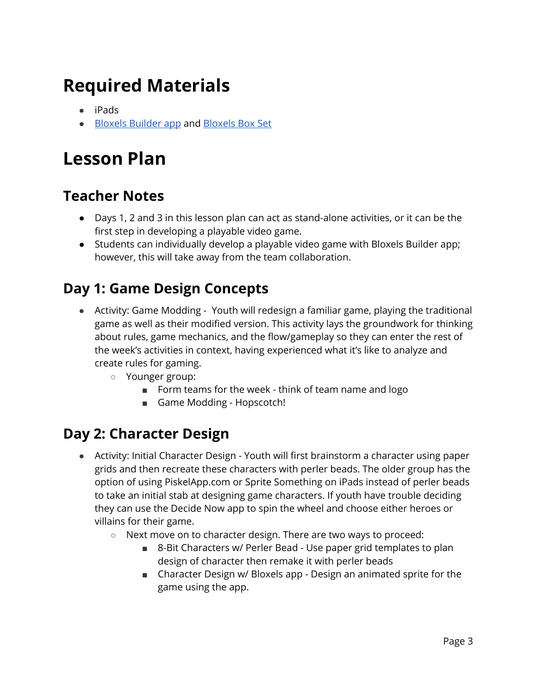# <span id="page-2-0"></span>Required Materials

- iPads
- Bloxels [Builder](https://itunes.apple.com/us/app/bloxels-build-play-share-your-own-video-games/id1041528293) app and [Bloxels](http://home.bloxelsbuilder.com/) Box Set

## <span id="page-2-1"></span>Lesson Plan

#### <span id="page-2-2"></span>Teacher Notes

- Days 1, 2 and 3 in this lesson plan can act as stand-alone activities, or it can be the first step in developing a playable video game.
- Students can individually develop a playable video game with Bloxels Builder app; however, this will take away from the team collaboration.

### <span id="page-2-3"></span>Day 1: Game Design Concepts

- Activity: Game Modding Youth will redesign a familiar game, playing the traditional game as well as their modified version. This activity lays the groundwork for thinking about rules, game mechanics, and the flow/gameplay so they can enter the rest of the week's activities in context, having experienced what it's like to analyze and create rules for gaming.
	- Younger group:
		- Form teams for the week think of team name and logo
		- Game Modding Hopscotch!

#### <span id="page-2-4"></span>Day 2: Character Design

- Activity: Initial Character Design Youth will first brainstorm a character using paper grids and then recreate these characters with perler beads. The older group has the option of using PiskelApp.com or Sprite Something on iPads instead of perler beads to take an initial stab at designing game characters. If youth have trouble deciding they can use the Decide Now app to spin the wheel and choose either heroes or villains for their game.
	- Next move on to character design. There are two ways to proceed:
		- 8-Bit Characters w/ Perler Bead Use paper grid templates to plan design of character then remake it with perler beads
		- Character Design w/ Bloxels app Design an animated sprite for the game using the app.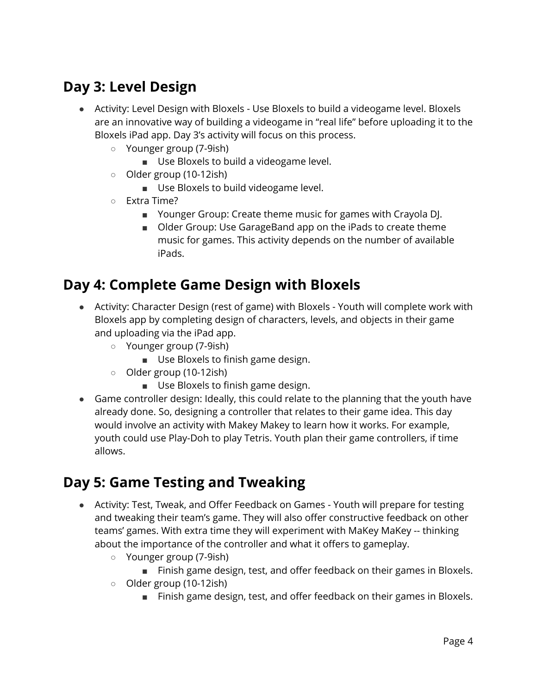## <span id="page-3-0"></span>Day 3: Level Design

- Activity: Level Design with Bloxels Use Bloxels to build a videogame level. Bloxels are an innovative way of building a videogame in "real life" before uploading it to the Bloxels iPad app. Day 3's activity will focus on this process.
	- Younger group (7-9ish)
		- Use Bloxels to build a videogame level.
	- Older group (10-12ish)
		- Use Bloxels to build videogame level.
	- Extra Time?
		- Younger Group: Create theme music for games with Crayola DJ.
		- Older Group: Use GarageBand app on the iPads to create theme music for games. This activity depends on the number of available iPads.

#### <span id="page-3-1"></span>Day 4: Complete Game Design with Bloxels

- Activity: Character Design (rest of game) with Bloxels Youth will complete work with Bloxels app by completing design of characters, levels, and objects in their game and uploading via the iPad app.
	- Younger group (7-9ish)
		- Use Bloxels to finish game design.
	- Older group (10-12ish)
		- Use Bloxels to finish game design.
- Game controller design: Ideally, this could relate to the planning that the youth have already done. So, designing a controller that relates to their game idea. This day would involve an activity with Makey Makey to learn how it works. For example, youth could use Play-Doh to play Tetris. Youth plan their game controllers, if time allows.

#### <span id="page-3-2"></span>Day 5: Game Testing and Tweaking

- Activity: Test, Tweak, and Offer Feedback on Games Youth will prepare for testing and tweaking their team's game. They will also offer constructive feedback on other teams' games. With extra time they will experiment with MaKey MaKey -- thinking about the importance of the controller and what it offers to gameplay.
	- Younger group (7-9ish)
		- Finish game design, test, and offer feedback on their games in Bloxels.
	- Older group (10-12ish)
		- Finish game design, test, and offer feedback on their games in Bloxels.